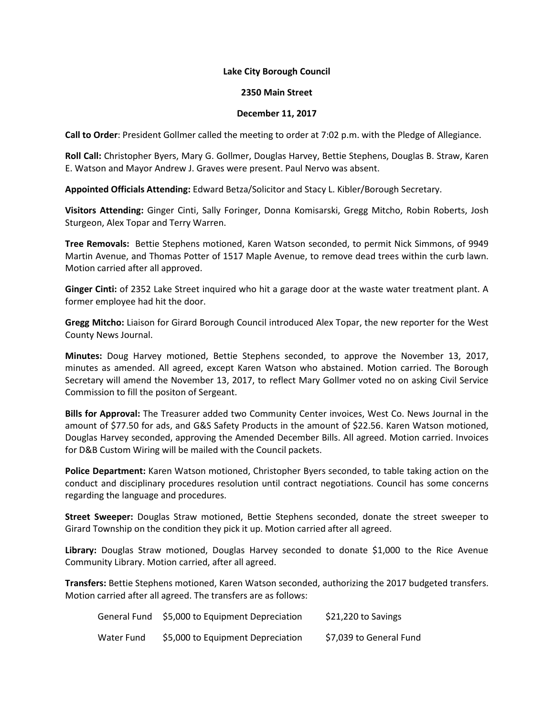## **Lake City Borough Council**

## **2350 Main Street**

## **December 11, 2017**

**Call to Order**: President Gollmer called the meeting to order at 7:02 p.m. with the Pledge of Allegiance.

**Roll Call:** Christopher Byers, Mary G. Gollmer, Douglas Harvey, Bettie Stephens, Douglas B. Straw, Karen E. Watson and Mayor Andrew J. Graves were present. Paul Nervo was absent.

**Appointed Officials Attending:** Edward Betza/Solicitor and Stacy L. Kibler/Borough Secretary.

**Visitors Attending:** Ginger Cinti, Sally Foringer, Donna Komisarski, Gregg Mitcho, Robin Roberts, Josh Sturgeon, Alex Topar and Terry Warren.

**Tree Removals:** Bettie Stephens motioned, Karen Watson seconded, to permit Nick Simmons, of 9949 Martin Avenue, and Thomas Potter of 1517 Maple Avenue, to remove dead trees within the curb lawn. Motion carried after all approved.

**Ginger Cinti:** of 2352 Lake Street inquired who hit a garage door at the waste water treatment plant. A former employee had hit the door.

**Gregg Mitcho:** Liaison for Girard Borough Council introduced Alex Topar, the new reporter for the West County News Journal.

**Minutes:** Doug Harvey motioned, Bettie Stephens seconded, to approve the November 13, 2017, minutes as amended. All agreed, except Karen Watson who abstained. Motion carried. The Borough Secretary will amend the November 13, 2017, to reflect Mary Gollmer voted no on asking Civil Service Commission to fill the positon of Sergeant.

**Bills for Approval:** The Treasurer added two Community Center invoices, West Co. News Journal in the amount of \$77.50 for ads, and G&S Safety Products in the amount of \$22.56. Karen Watson motioned, Douglas Harvey seconded, approving the Amended December Bills. All agreed. Motion carried. Invoices for D&B Custom Wiring will be mailed with the Council packets.

**Police Department:** Karen Watson motioned, Christopher Byers seconded, to table taking action on the conduct and disciplinary procedures resolution until contract negotiations. Council has some concerns regarding the language and procedures.

**Street Sweeper:** Douglas Straw motioned, Bettie Stephens seconded, donate the street sweeper to Girard Township on the condition they pick it up. Motion carried after all agreed.

**Library:** Douglas Straw motioned, Douglas Harvey seconded to donate \$1,000 to the Rice Avenue Community Library. Motion carried, after all agreed.

**Transfers:** Bettie Stephens motioned, Karen Watson seconded, authorizing the 2017 budgeted transfers. Motion carried after all agreed. The transfers are as follows:

|            | General Fund \$5,000 to Equipment Depreciation | \$21,220 to Savings     |
|------------|------------------------------------------------|-------------------------|
| Water Fund | \$5,000 to Equipment Depreciation              | \$7,039 to General Fund |